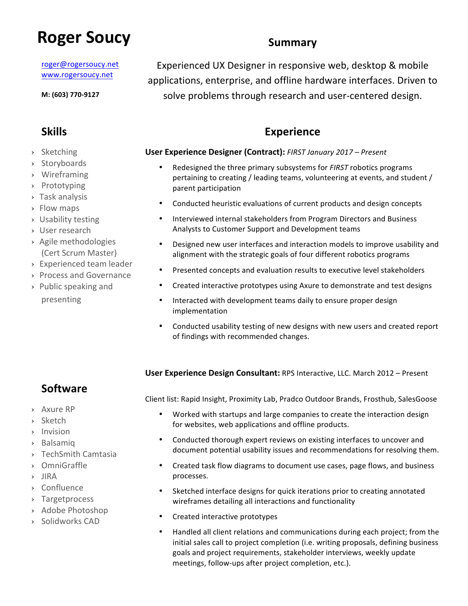# **Roger Soucy** Summary

roger@rogersoucy.net www.rogersoucy.net

**M: (603) 770-9127**

- › Sketching
- › Storyboards
- › Wireframing
- › Prototyping
- › Task analysis
- › Flow maps
- › Usability testing
- › User research
- > Agile methodologies (Cert Scrum Master)
- › Experienced team leader
- › Process and Governance
- › Public speaking and presenting

Experienced UX Designer in responsive web, desktop & mobile applications, enterprise, and offline hardware interfaces. Driven to solve problems through research and user-centered design.

# **Skills Experience**

#### **User Experience Designer (Contract):** *FIRST January 2017 – Present*

- Redesigned the three primary subsystems for *FIRST* robotics programs pertaining to creating / leading teams, volunteering at events, and student / parent participation
- Conducted heuristic evaluations of current products and design concepts
- Interviewed internal stakeholders from Program Directors and Business Analysts to Customer Support and Development teams
- Designed new user interfaces and interaction models to improve usability and alignment with the strategic goals of four different robotics programs
- Presented concepts and evaluation results to executive level stakeholders
- Created interactive prototypes using Axure to demonstrate and test designs
- Interacted with development teams daily to ensure proper design implementation
- Conducted usability testing of new designs with new users and created report of findings with recommended changes.

#### **User Experience Design Consultant:** RPS Interactive, LLC. March 2012 – Present

# **Software**

› Axure RP

- › Sketch
- › Invision
- › Balsamiq
- › TechSmith Camtasia
- › OmniGraffle
- › JIRA
- › Confluence
- › Targetprocess
- > Adobe Photoshop
- › Solidworks CAD

Worked with startups and large companies to create the interaction design for websites, web applications and offline products.

Client list: Rapid Insight, Proximity Lab, Pradco Outdoor Brands, Frosthub, SalesGoose

- Conducted thorough expert reviews on existing interfaces to uncover and document potential usability issues and recommendations for resolving them.
- Created task flow diagrams to document use cases, page flows, and business processes.
- Sketched interface designs for quick iterations prior to creating annotated wireframes detailing all interactions and functionality
- Created interactive prototypes
- Handled all client relations and communications during each project; from the initial sales call to project completion (i.e. writing proposals, defining business goals and project requirements, stakeholder interviews, weekly update meetings, follow-ups after project completion, etc.).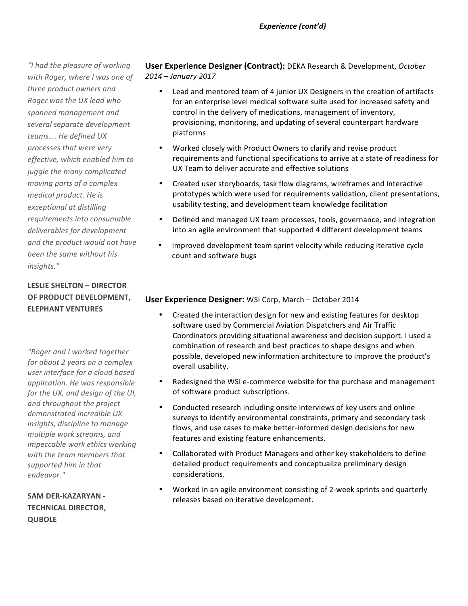*"I had the pleasure of working*  with Roger, where I was one of three product owners and *Roger was the UX lead who*  spanned management and *several separate development teams…. He defined UX processes that were very effective, which enabled him to juggle the many complicated moving parts of a complex medical product.* He is *exceptional at distilling*  requirements into consumable deliverables for development and the product would not have been the same without his *insights."*

### **LESLIE SHELTON - DIRECTOR OF PRODUCT DEVELOPMENT. ELEPHANT VENTURES**

*"Roger and I worked together for about 2 years on a complex user interface for a cloud based application. He was responsible for the UX, and design of the UI,* and throughout the project demonstrated incredible UX *insights, discipline to manage multiple work streams, and impeccable* work *ethics* working with the team members that supported him in that *endeavor."*

**SAM DER-KAZARYAN -TECHNICAL DIRECTOR, QUBOLE**

**User Experience Designer (Contract):** DEKA Research & Development, October *2014 – January 2017*

- Lead and mentored team of 4 junior UX Designers in the creation of artifacts for an enterprise level medical software suite used for increased safety and control in the delivery of medications, management of inventory, provisioning, monitoring, and updating of several counterpart hardware platforms
- Worked closely with Product Owners to clarify and revise product requirements and functional specifications to arrive at a state of readiness for UX Team to deliver accurate and effective solutions
- Created user storyboards, task flow diagrams, wireframes and interactive prototypes which were used for requirements validation, client presentations, usability testing, and development team knowledge facilitation
- Defined and managed UX team processes, tools, governance, and integration into an agile environment that supported 4 different development teams
- Improved development team sprint velocity while reducing iterative cycle count and software bugs

#### **User Experience Designer:** WSI Corp, March – October 2014

- Created the interaction design for new and existing features for desktop software used by Commercial Aviation Dispatchers and Air Traffic Coordinators providing situational awareness and decision support. I used a combination of research and best practices to shape designs and when possible, developed new information architecture to improve the product's overall usability.
- Redesigned the WSI e-commerce website for the purchase and management of software product subscriptions.
- Conducted research including onsite interviews of key users and online surveys to identify environmental constraints, primary and secondary task flows, and use cases to make better-informed design decisions for new features and existing feature enhancements.
- Collaborated with Product Managers and other key stakeholders to define detailed product requirements and conceptualize preliminary design considerations.
- Worked in an agile environment consisting of 2-week sprints and quarterly releases based on iterative development.